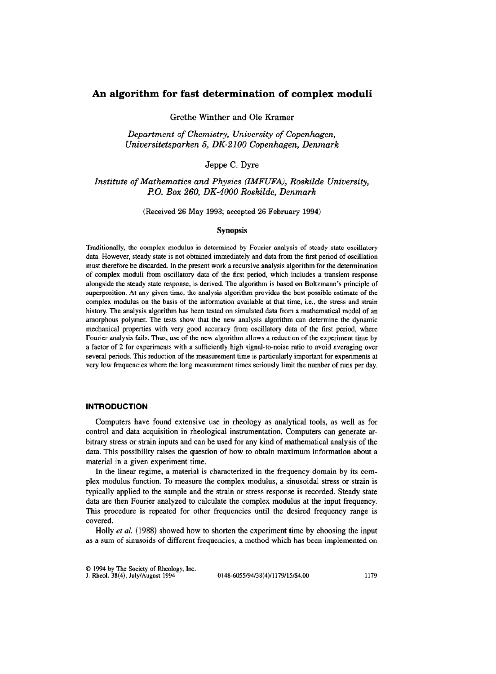## An algorithm for fast determination of complex moduli

Grethe Winther and Ole Kramer

Department of Chemistry, University of Copenhagen, Universitetsparken 5, DK-2100 Copenhagen, Denmark

# Jeppe C. Dyre

# Institute of Mathematics and Physics (IMFUFA), Roskilde University, I?O. Box 260, DK-4000 Roskilde, Denmark

(Received 26 May 1993; accepted 26 February 1994)

### **Synopsis**

Traditionally, the complex modulus is determined by Fourier analysis of steady state oscillatory data. However, steady state is not obtained immediately and data from the first period of oscillation must therefore be discarded. In the present work a recursive analysis algorithm for the determination of complex moduli from oscillatory data of the first period, which includes a transient response alongside the steady state response, is derived. The algorithm is based on Boltzmann's principle of superposition. At any given time, the analysis algorithm provides the best possible estimate of the complex modulus on the basis of the information available at that time, i.e., the stress and strain history. The analysis algorithm has been tested on simulated data from a mathematical model of an amorphous polymer. The tests show that the new analysis algorithm can determine the dynamic mechanical properties with very good accuracy from oscillatory data of the first period, where Fourier analysis fails. Thus, use of the new algorithm allows a reduction of the experiment time by a factor of 2 for experiments with a sufficiently high signal-to-noise ratio to avoid averaging over several periods. This reduction of the measurement time is particularly important for experiments at very low frequencies where the long measurement times seriously limit the number of runs per day.

#### INTRODUCTION

Computers have found extensive use in rheology as analytical tools, as well as for control and data acquisition in rheological instrumentation. Computers can generate arbitrary stress or strain inputs and can be used for any kind of mathematical analysis of the data. This possibility raises the question of how to obtain maximum information about a material in a given experiment time.

In the linear regime, a material is characterized in the frequency domain by its complex modulus function. To measure the complex modulus, a sinusoidal stress or strain is typically applied to the sample and the strain or stress response is recorded. Steady state data are then Fourier analyzed to calculate the complex modulus at the input frequency. This procedure is repeated for other frequencies until the desired frequency range is covered.

Holly et al. (1988) showed how to shorten the experiment time by choosing the input as a sum of sinusoids of different frequencies, a method which has been implemented on

0 1994 by The Society of Rheology, Inc.

0148-6055/94/38(4)/1179/15/\$4.00 1179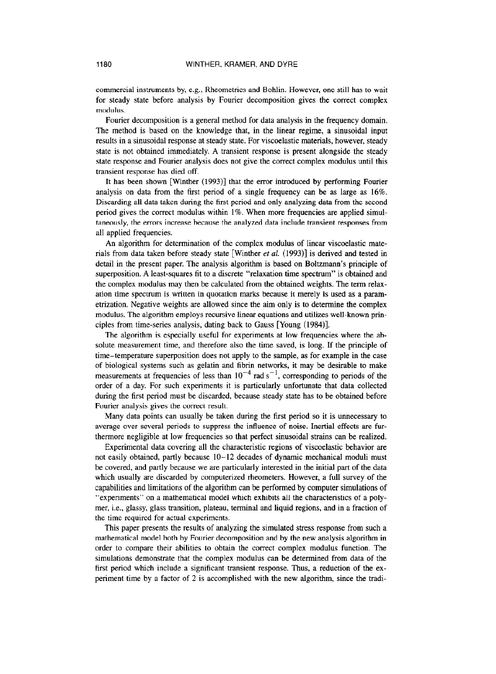commercial instruments by, e.g., Rheometrics and Bohlin. However, one still has to wait for steady state before analysis by Fourier decomposition gives the correct complex modulus.

Fourier decomposition is a general method for data analysis in the frequency domain. The method is based on the knowledge that, in the linear regime, a sinusoidal input results in a sinusoidal response at steady state. For viscoelastic materials, however, steady state is not obtained immediately. A transient response is present alongside the steady state response and Fourier analysis does not give the correct complex modulus until this transient response has died off.

It has been shown [Winther (1993)] that the error introduced by performing Fourier analysis on data from the first period of a single frequency can be as large as 16%. Discarding all data taken during the first period and only analyzing data from the second period gives the correct modulus within 1%. When more frequencies are applied simultaneously, the errors increase because the analyzed data include transient responses from all applied frequencies.

An algorithm for determination of the complex modulus of linear viscoelastic materials from data taken before steady state [Winther *et al.* (1993)] is derived and tested in detail in the present paper. The analysis algorithm is based on Boltzmann's principle of superposition. A least-squares fit to a discrete "relaxation time spectrum" is obtained and the complex modulus may then be calculated from the obtained weights. The term relaxation time spectrum is written in quotation marks because it merely is used as a parametrization. Negative weights are allowed since the aim only is to determine the complex modulus. The algorithm employs recursive linear equations and utilizes well-known principles from time-series analysis, dating back to Gauss [Young (1984)].

The algorithm is especially useful for experiments at low frequencies where the absolute measurement time, and therefore also the time saved, is long. If the principle of time-temperature superposition does not apply to the sample, as for example in the case of biological systems such as gelatin and fibrin networks, it may be desirable to make measurements at frequencies of less than  $10^{-4}$  rad s<sup>-1</sup>, corresponding to periods of the order of a day. For such experiments it is particularly unfortunate that data collected during the first period must be discarded, because steady state has to be obtained before Fourier analysis gives the correct result.

Many data points can usually be taken during the first period so it is unnecessary to average over several periods to suppress the influence of noise. Inertial effects are furthermore negligible at low frequencies so that perfect sinusoidal strains can be realized.

Experimental data covering all the characteristic regions of viscoelastic behavior are not easily obtained, partly because 10–12 decades of dynamic mechanical moduli must be covered, and partly because we are particularly interested in the initial part of the data which usually are discarded by computerized rheometers. However, a full survey of the capabilities and limitations of the algorithm can be performed by computer simulations of "experiments" on a mathematical model which exhibits all the characteristics of a polymer, i.e., glassy, glass transition, plateau, terminal and liquid regions, and in a fraction of the time required for actual experiments.

This paper presents the results of analyzing the simulated stress response from such a mathematical model both by Fourier decomposition and by the new analysis algorithm in order to compare their abilities to obtain the correct complex modulus function. The simulations demonstrate that the complex modulus can be determined from data of the first period which include a significant transient response. Thus, a reduction of the experiment time by a factor of 2 is accomplished with the new algorithm, since the tradi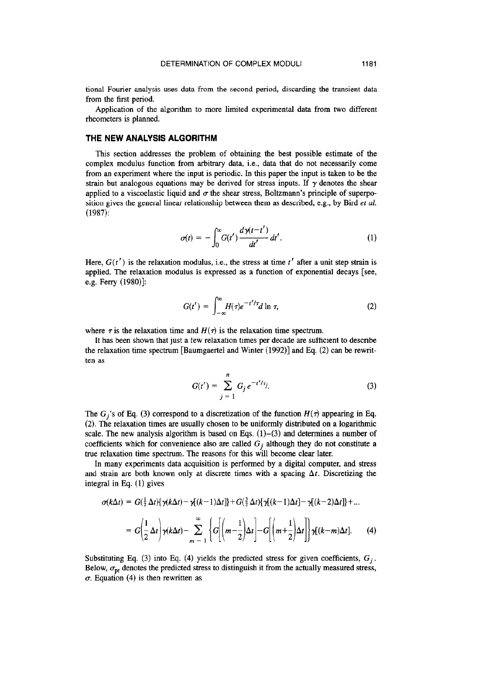tional Fourier analysis uses data from the second period, discarding the transient data from the first period.

Application of the algorithm to more limited experimental data from two different rheometers is planned.

## THE NEW ANALYSIS ALGORITHM

This section addresses the problem of obtaining the best possible estimate of the complex modulus function from arbitrary data, i.e., data that do not necessarily come from an experiment where the input is periodic. In this paper the input is taken to be the strain but analogous equations may be derived for stress inputs. If  $\gamma$  denotes the shear applied to a viscoelastic liquid and  $\sigma$  the shear stress, Boltzmann's principle of superposition gives the general linear relationship between them as described, e.g., by Bird et al. (1987):

$$
\sigma(t) = -\int_0^\infty G(t') \frac{d\gamma(t-t')}{dt'} dt'.
$$
 (1)

Here,  $G(t')$  is the relaxation modulus, i.e., the stress at time  $t'$  after a unit step strain is applied. The relaxation modulus is expressed as a function of exponential decays [see, e.g. Ferry (1980)]:

$$
G(t') = \int_{-\infty}^{\infty} H(\tau) e^{-t'/\tau} d\ln \tau,
$$
 (2)

where  $\tau$  is the relaxation time and  $H(\tau)$  is the relaxation time spectrum.

It has been shown that just a few relaxation times per decade are sufficient to describe the relaxation time spectrum [Baumgaertel and Winter (1992)] and Eq. (2) can be rewritten as

$$
G(t') = \sum_{j=1}^{n} G_j e^{-t'/\tau_j}.
$$
 (3)

The G<sub>i</sub>'s of Eq. (3) correspond to a discretization of the function  $H(\tau)$  appearing in Eq. (2). The relaxation times are usually chosen to be uniformly distributed on a logarithmic scale. The new analysis algorithm is based on Eqs.  $(1)-(3)$  and determines a number of coefficients which for convenience also are called  $G_i$  although they do not constitute a true relaxation time spectrum. The reasons for this will become clear later.

In many experiments data acquisition is performed by a digital computer, and stress and strain are both known only at discrete times with a spacing  $\Delta t$ . Discretizing the integral in Eq. (1) gives

$$
\sigma(k\Delta t) = G(\frac{1}{2}\Delta t)\{\gamma(k\Delta t) - \gamma[(k-1)\Delta t]\} + G(\frac{3}{2}\Delta t)\{\gamma[(k-1)\Delta t] - \gamma[(k-2)\Delta t]\} + \dots
$$
  
= 
$$
G\left(\frac{1}{2}\Delta t\right)\gamma(k\Delta t) - \sum_{m=1}^{\infty} \left\{G\left[\left(m - \frac{1}{2}\right)\Delta t\right] - G\left[\left(m + \frac{1}{2}\right)\Delta t\right]\right\}\gamma[(k-m)\Delta t]. \tag{4}
$$

Substituting Eq. (3) into Eq. (4) yields the predicted stress for given coefficients,  $G_i$ . Below,  $\sigma_{\text{pr}}$  denotes the predicted stress to distinguish it from the actually measured stress,  $\sigma$ . Equation (4) is then rewritten as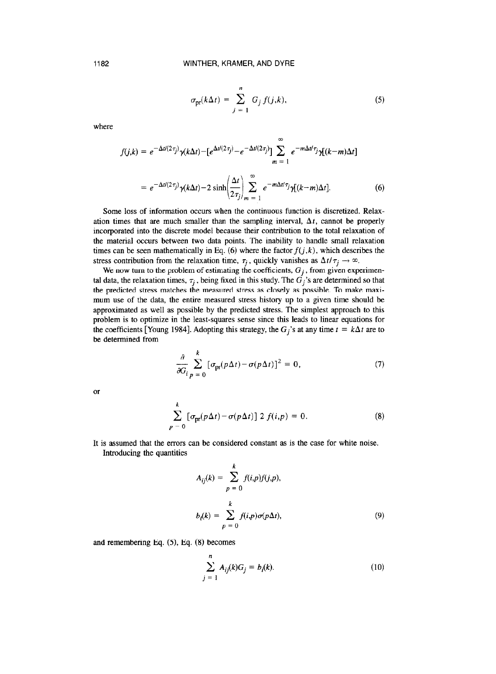where

$$
f(j,k) = e^{-\Delta t/(2\tau_j)} \gamma(k\Delta t) - \left[e^{\Delta t/(2\tau_j)} - e^{-\Delta t/(2\tau_j)}\right] \sum_{m=1}^{\infty} e^{-m\Delta t/\tau_j} \gamma[(k-m)\Delta t]
$$

$$
= e^{-\Delta t/(2\tau_j)} \gamma(k\Delta t) - 2 \sinh\left(\frac{\Delta t}{2\tau_j}\right) \sum_{m=1}^{\infty} e^{-m\Delta t/\tau_j} \gamma[(k-m)\Delta t]. \tag{6}
$$

Some loss of information occurs when the continuous function is discretized. Relaxation times that are much smaller than the sampling interval,  $\Delta t$ , cannot be properly incorporated into the discrete model because their contribution to the total relaxation of the material occurs between two data points. The inability to handle small relaxation times can be seen mathematically in Eq. (6) where the factor  $f(j,k)$ , which describes the stress contribution from the relaxation time,  $\tau_i$ , quickly vanishes as  $\Delta t/\tau_i \rightarrow \infty$ .

We now turn to the problem of estimating the coefficients,  $G_j$ , from given experimental data, the relaxation times,  $\tau_i$ , being fixed in this study. The  $\vec{G}_i$ 's are determined so that the predicted stress matches the measured stress as closely as possible. To make maximum use of the data, the entire measured stress history up to a given time should be approximated as well as possible by the predicted stress. The simplest approach to this problem is to optimize in the least-squares sense since this leads to linear equations for the coefficients [Young 1984]. Adopting this strategy, the  $G_i$ 's at any time  $t = k\Delta t$  are to be determined from

$$
\frac{\partial}{\partial G_i} \sum_{p=0}^{k} \left[ \sigma_{\text{pr}}(p\Delta t) - \sigma(p\Delta t) \right]^2 = 0, \tag{7}
$$

or

$$
\sum_{p=0}^{k} \left[ \sigma_{\text{pr}}(p\Delta t) - \sigma(p\Delta t) \right] 2 f(i,p) = 0. \tag{8}
$$

It is assumed that the errors can be considered constant as is the case for white noise. Introducing the quantities

$$
A_{ij}(k) = \sum_{p=0}^{k} f(i,p)f(j,p),
$$
  

$$
b_{i}(k) = \sum_{p=0}^{k} f(i,p)\sigma(p\Delta t),
$$
 (9)

and remembering Eq. (5), Eq. (8) becomes

$$
\sum_{j=1}^{n} A_{ij}(k)G_j = b_i(k).
$$
 (10)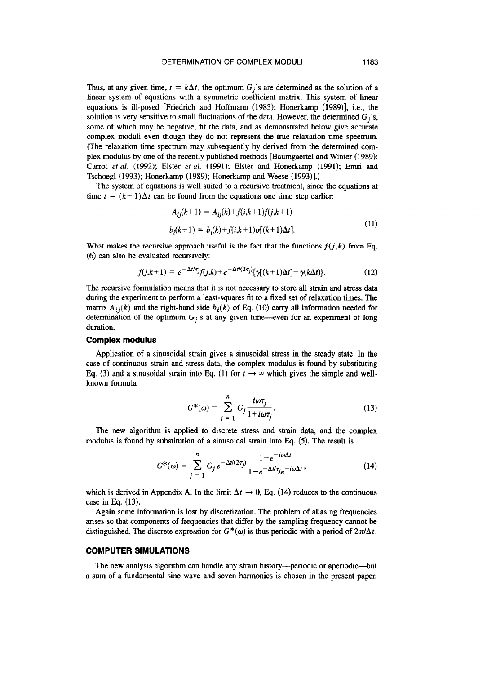Thus, at any given time,  $t = k\Delta t$ , the optimum  $G_i$ 's are determined as the solution of a linear system of equations with a symmetric coefficient matrix. This system of linear equations is ill-posed [Friedrich and Hoffmann (1983); Honerkamp (1989)], i.e., the solution is very sensitive to small fluctuations of the data. However, the determined  $G_i$ 's, some of which may be negative, fit the data, and as demonstrated below give accurate complex moduli even though they do not represent the true relaxation time spectrum. (The relaxation time spectrum may subsequently by derived from the determined complex modulus by one of the recently published methods [Baumgaertel and Winter (1989); Carrot et al. (1992); Elster et al. (1991); Elster and Honerkamp (1991); Emri and Tschoegl (1993); Honerkamp (1989); Honerkamp and Weese (1993)].)

The system of equations is well suited to a recursive treatment, since the equations at time  $t = (k+1)\Delta t$  can be found from the equations one time step earlier:

$$
A_{ij}(k+1) = A_{ij}(k) + f(i,k+1)f(j,k+1)
$$
  
\n
$$
b_i(k+1) = b_i(k) + f(i,k+1)\sigma[(k+1)\Delta t].
$$
\n(11)

What makes the recursive approach useful is the fact that the functions  $f(j,k)$  from Eq. (6) can also be evaluated recursively:

$$
f(j,k+1) = e^{-\Delta t/\tau_j} f(j,k) + e^{-\Delta t/(2\tau_j)} \{ \gamma[(k+1)\Delta t] - \gamma(k\Delta t) \}.
$$
 (12)

The recursive formulation means that it is not necessary to store all strain and stress data during the experiment to perform a least-squares fit to a fixed set of relaxation times. The matrix  $A_{ij}(k)$  and the right-hand side  $b_i(k)$  of Eq. (10) carry all information needed for determination of the optimum  $G_j$ 's at any given time---even for an experiment of long duration.

#### Complex modulus

Application of a sinusoidal strain gives a sinusoidal stress in the steady state. In the case of continuous strain and stress data, the complex modulus is found by substituting Eq. (3) and a sinusoidal strain into Eq. (1) for  $t \to \infty$  which gives the simple and wellknown formula

$$
G^*(\omega) = \sum_{j=1}^n G_j \frac{i\omega \tau_j}{1 + i\omega \tau_j}.
$$
 (13)

The new algorithm is applied to discrete stress and strain data, and the complex modulus is found by substitution of a sinusoidal strain into Eq. (5). The result is

$$
G^*(\omega) = \sum_{j=1}^n G_j e^{-\Delta t/(2\tau_j)} \frac{1 - e^{-i\omega\Delta t}}{1 - e^{-\Delta t/\tau_j} e^{-i\omega\Delta t}},
$$
(14)

which is derived in Appendix A. In the limit  $\Delta t \rightarrow 0$ , Eq. (14) reduces to the continuous case in Eq. (13).

Again some information is lost by discretization. The problem of aliaaing frequencies arises so that components of frequencies that differ by the sampling frequency cannot be distinguished. The discrete expression for  $G^*(\omega)$  is thus periodic with a period of  $2\pi/\Delta t$ .

### COMPUTER SIMULATIONS

The new analysis algorithm can handle any strain history-periodic or aperiodic-but a sum of a fundamental sine wave and seven harmonics is chosen in the present paper,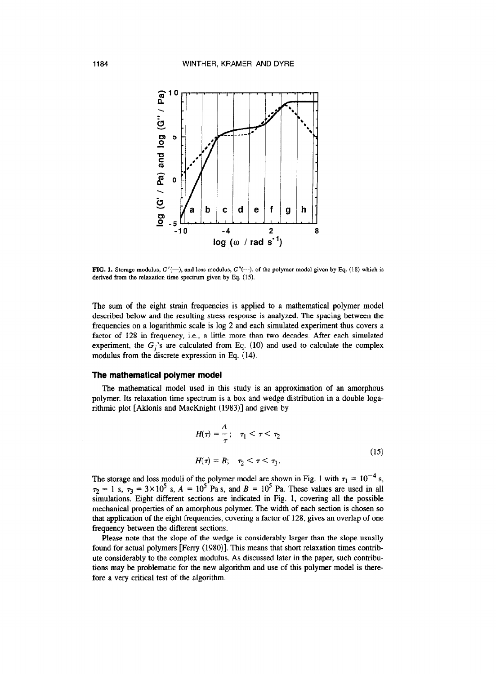

FIG. 1. Storage modulus,  $G'(-)$ , and loss modulus,  $G''(-)$ , of the polymer model given by Eq. (18) which is derived from the relaxation time spectrum given by Eq. (15).

The sum of the eight strain frequencies is applied to a mathematical polymer model described below and the resulting stress response is analyzed. The spacing between the frequencies on a logarithmic scale is log 2 and each simulated experiment thus covers a factor of 128 in frequency, i.e., a little more than two decades. After each simulated experiment, the  $G_j$ 's are calculated from Eq. (10) and used to calculate the complex modulus from the discrete expression in Eq. (14).

### The mathematical polymer model

The mathematical model used in this study is an approximation of an amorphous polymer. Its relaxation time spectrum is a box and wedge distribution in a double logarithmic plot [Aklonis and MacKnight (1983)] and given by

$$
H(\tau) = \frac{A}{\tau}; \quad \tau_1 < \tau < \tau_2
$$
\n
$$
H(\tau) = B; \quad \tau_2 < \tau < \tau_3. \tag{15}
$$

The storage and loss moduli of the polymer model are shown in Fig. 1 with  $\tau_1 = 10^{-4}$  s,  $\tau_2 = 1$  s,  $\tau_3 = 3 \times 10^5$  s,  $A = 10^5$  Pas, and  $B = 10^5$  Pa. These values are used in all simulations. Eight different sections are indicated in Fig. 1, covering all the possible mechanical properties of an amorphous polymer. The width of each section is chosen so that application of the eight frequencies, covering a factor of 128, gives an overlap of one frequency between the different sections.

Please note that the slope of the wedge is considerably larger than the slope usually found for actual polymers [Ferry (1980)]. This means that short relaxation times contribute considerably to the complex modulus. As discussed later in the paper, such contributions may be problematic for the new algorithm and use of this polymer model is tberefore a very critical test of the algorithm.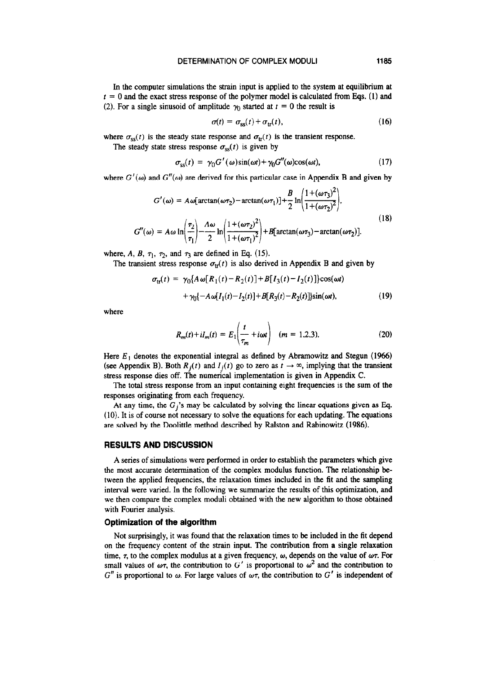In the computer simulations the strain input is applied to the system at equilibrium at  $t = 0$  and the exact stress response of the polymer model is calculated from Eqs. (1) and (2). For a single sinusoid of amplitude  $\gamma_0$  started at  $t = 0$  the result is

$$
\sigma(t) = \sigma_{ss}(t) + \sigma_{tr}(t), \qquad (16)
$$

where  $\sigma_{ss}(t)$  is the steady state response and  $\sigma_{tr}(t)$  is the transient response.

The steady state stress response  $\sigma_{ss}(t)$  is given by

$$
\sigma_{ss}(t) = \gamma_0 G'(\omega) \sin(\omega t) + \gamma_0 G''(\omega) \cos(\omega t), \qquad (17)
$$

where  $G'(\omega)$  and  $G''(\omega)$  are derived for this particular case in Appendix B and given by

$$
G'(\omega) = A\omega[\arctan(\omega\tau_2) - \arctan(\omega\tau_1)] + \frac{B}{2}\ln\left(\frac{1+(\omega\tau_3)^2}{1+(\omega\tau_2)^2}\right),
$$
  

$$
G''(\omega) = A\omega\ln\left(\frac{\tau_2}{\tau_1}\right) - \frac{A\omega}{2}\ln\left(\frac{1+(\omega\tau_2)^2}{1+(\omega\tau_1)^2}\right) + B[\arctan(\omega\tau_3) - \arctan(\omega\tau_2)].
$$
 (18)

where, A, B,  $\tau_1$ ,  $\tau_2$ , and  $\tau_3$  are defined in Eq. (15).

The transient stress response  $\sigma_{tr}(t)$  is also derived in Appendix B and given by

$$
\sigma_{tr}(t) = \gamma_0 \{ A \omega [R_1(t) - R_2(t)] + B[I_3(t) - I_2(t)] \} \cos(\omega t)
$$
  
+ 
$$
\gamma_0 \{ -A \omega [I_1(t) - I_2(t)] + B[R_3(t) - R_2(t)] \} \sin(\omega t),
$$
 (19)

where

$$
R_m(t) + iI_m(t) = E_1\left(\frac{t}{\tau_m} + i\omega t\right) \quad (m = 1, 2, 3). \tag{20}
$$

Here  $E_1$  denotes the exponential integral as defined by Abramowitz and Stegun (1966) (see Appendix B). Both  $R_i(t)$  and  $I_i(t)$  go to zero as  $t \to \infty$ , implying that the transient stress response dies off. The numerical implementation is given in Appendix C.

The total stress response from an input containing eight frequencies is the sum of the responses originating from each frequency.

At any time, the  $G_i$ 's may be calculated by solving the linear equations given as Eq. (10). It is of course not necessary to solve the equations for each updating. The equations are solved by the Doolittle method described by Ralston and Rabinowitz (1986).

### RESULTS AND DISCUSSION

A series of simulations were performed in order to establish the parameters which give the most accurate determination of the complex modulus function. The relationship between the applied frequencies, the relaxation times included in the fit and the sampling interval were varied. In the following we summarize the results of this optimization, and we then compare the complex moduli obtained with the new algorithm to those obtained with Fourier analysis.

## Optimization of the algorithm

Not surprisingly, it was found that the relaxation times to be included in the fit depend on the frequency content of the strain input. The contribution from a single relaxation time,  $\tau$ , to the complex modulus at a given frequency,  $\omega$ , depends on the value of  $\omega\tau$ . For small values of  $\omega\tau$ , the contribution to G' is proportional to  $\omega^2$  and the contribution to  $G''$  is proportional to  $\omega$ . For large values of  $\omega\tau$ , the contribution to  $G'$  is independent of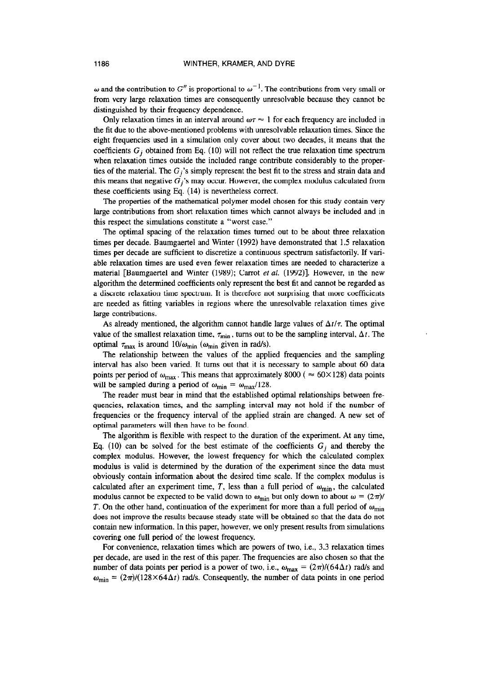$\omega$  and the contribution to G'' is proportional to  $\omega^{-1}$ . The contributions from very small or from very large relaxation times are consequently unresolvable because they cannot be distinguished by their frequency dependence.

Only relaxation times in an interval around  $\omega \tau \approx 1$  for each frequency are included in the fit due to the above-mentioned problems with unresolvable relaxation times. Since the eight frequencies used in a simulation only cover about two decades, it means that the coefficients  $G_i$  obtained from Eq. (10) will not reflect the true relaxation time spectrum when relaxation times outside the included range contribute considerably to the properties of the material. The  $G_i$ 's simply represent the best fit to the stress and strain data and this means that negative  $G_j$ 's may occur. However, the complex modulus calculated from these coefficients using Eq. (14) is nevertheless correct.

The properties of the mathematical polymer model chosen for this study contain very large contributions from short relaxation times which cannot always be included and in this respect the simulations constitute a "worst case."

The optimal spacing of the relaxation times turned out to be about three relaxation times per decade. Baumgaertel and Winter (1992) have demonstrated that 1.5 relaxation times per decade are sufficient to discretize a continuous spectrum satisfactorily. If variable relaxation times are used even fewer relaxation times are needed to characterize a material [Baumgaertel and Winter (1989); Carrot et al. (1992)]. However, in the new algorithm the determined coefficients only represent the best fit and cannot be regarded as a discrete relaxation time spectrum. It is therefore not surprising that more coefficients are needed as fitting variables in regions where the unresolvable relaxation times give large contributions.

As already mentioned, the algorithm cannot handle large values of  $\Delta t/\tau$ . The optimal value of the smallest relaxation time,  $\tau_{\text{min}}$ , turns out to be the sampling interval,  $\Delta t$ . The optimal  $\tau_{\text{max}}$  is around 10/ $\omega_{\text{min}}$  ( $\omega_{\text{min}}$  given in rad/s).

The relationship between the values of the applied frequencies and the sampling interval has also been varied. It turns out that it is necessary to sample about 60 data points per period of  $\omega_{\text{max}}$ . This means that approximately 8000 (  $\approx 60 \times 128$ ) data points will be sampled during a period of  $\omega_{\text{min}} = \omega_{\text{max}}/128$ .

The reader must bear in mind that the established optimal relationships between frequencies, relaxation times, and the sampling interval may not hold if the number of frequencies or the frequency interval of the applied strain are changed. A new set of optimal parameters will then have to be found.

The algorithm is flexible with respect to the duration of the experiment. At any time, Eq. (10) can be solved for the best estimate of the coefficients  $G_i$  and thereby the complex modulus. However, the lowest frequency for which the calculated complex modulus is valid is determined by the duration of the experiment since the data must obviously contain information about the desired time scale. If the complex modulus is calculated after an experiment time, T, less than a full period of  $\omega_{\text{min}}$ , the calculated modulus cannot be expected to be valid down to  $\omega_{\text{min}}$  but only down to about  $\omega = (2\pi)$ / T. On the other hand, continuation of the experiment for more than a full period of  $\omega_{\min}$ does not improve the results because steady state will be obtained so that the data do not contain new information. In this paper, however, we only present results from simulations covering one full period of the lowest frequency.

For convenience, relaxation times which are powers of two, i.e., 3.3 relaxation times per decade, are used in the rest of this paper. The frequencies are also chosen so that the number of data points per period is a power of two, i.e.,  $\omega_{\text{max}} = (2\pi)/(64\Delta t)$  rad/s and  $\omega_{\text{min}} = (2\pi)/(128 \times 64\Delta t)$  rad/s. Consequently, the number of data points in one period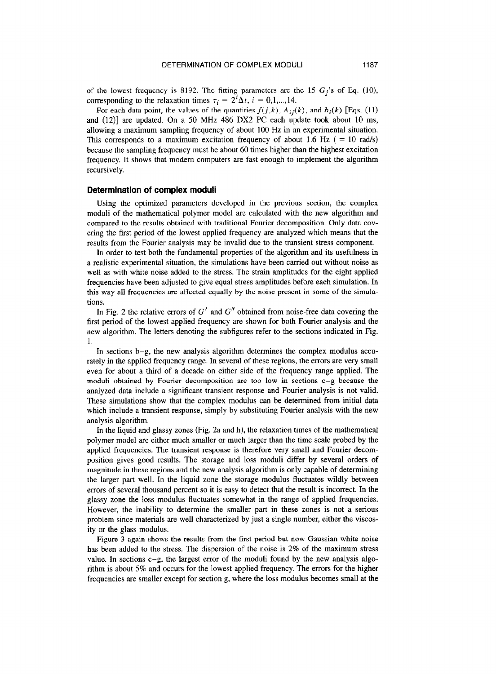of the lowest frequency is 8192. The fitting parameters are the 15  $G_i$ 's of Eq. (10), corresponding to the relaxation times  $\tau_i = 2^t \Delta t$ ,  $i = 0,1,...,14$ .

For each data point, the values of the quantities  $f(j,k)$ ,  $A_{ij}(k)$ , and  $b_j(k)$  [Eqs. (11) and (12)] are updated. On a 50 MHz 486 DX2 PC each update took about 10 ms, allowing a maximum sampling frequency of about 100 Hz in an experimental situation. This corresponds to a maximum excitation frequency of about 1.6 Hz ( $= 10$  rad/s) because the sampling frequency must be about 60 times higher than the highest excitation frequency. It shows that modem computers are fast enough to implement the algorithm recursively.

#### Determination of complex moduli

Using the optimized parameters developed in the previous section, the complex moduli of the mathematical polymer model are calculated with the new algorithm and compared to the results obtained with traditional Fourier decomposition. Only data covering the first period of the lowest applied frequency are analyzed which means that the results from the Fourier analysis may be invalid due to the transient stress component.

In order to test both the fundamental properties of the algorithm and its usefulness in a realistic experimental situation, the simulations have been carried out without noise as well as with white noise added to the stress. The strain amplitudes for the eight applied frequencies have been adjusted to give equal stress amplitudes before each simulation. In this way all frequencies are affected equally by the noise present in some of the simulations.

In Fig. 2 the relative errors of  $G'$  and  $G''$  obtained from noise-free data covering the first period of the lowest applied frequency are shown for both Fourier analysis and the new algorithm. The letters denoting the subfigures refer to the sections indicated in Fig.  $\mathbf{1}$ .

In sections  $b-g$ , the new analysis algorithm determines the complex modulus accurately in the applied frequency range. In several of these regions, the errors are very small even for about a third of a decade on either side of the frequency range applied. The moduli obtained by Fourier decomposition are too low in sections c-g because the analyzed data include a significant transient response and Fourier analysis is not valid. These simulations show that the complex modulus can be determined from initial data which include a transient response, simply by substituting Fourier analysis with the new analysis algorithm.

In the liquid and glassy zones (Fig. 2a and h), the relaxation times of the mathematical polymer model are either much smaller or much larger than the time scale probed by the applied frequencies. The transient response is therefore very small and Fourier decomposition gives good results. The storage and loss moduli differ by several orders of magnitude in these regions and the new analysis algorithm is only capable of determining the larger part well. In the liquid zone the storage modulus fluctuates wildly between errors of several thousand percent so it is easy to detect that the result is incorrect. In the glassy zone the loss modulus fluctuates somewhat in the range of applied frequencies. However, the inability to determine the smaller part in these zones is not a serious problem since materials are well characterized by just a single number, either the viscosity or the glass modulus.

Figure 3 again shows the results from the first period but now Gaussian white noise has been added to the stress. The dispersion of the noise is 2% of the maximum stress value. In sections  $c-g$ , the largest error of the moduli found by the new analysis algorithm is about 5% and occurs for the lowest applied frequency. The errors for the higher frequencies are smaller except for section g, where the loss modulus becomes small at the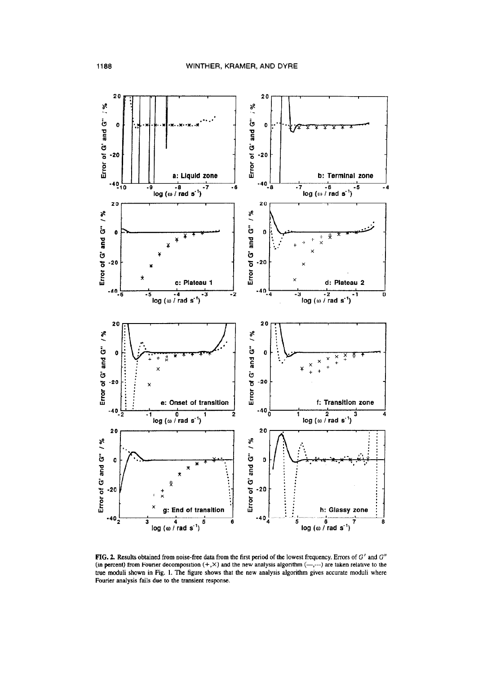

FIG. 2. Results obtained from noise-free data from the first period of the lowest frequency. Errors of  $G'$  and  $G''$ (in percent) from Fourier decomposition  $(+, \times)$  and the new analysis algorithm  $(-, \dots)$  are taken relative to the true moduli shown in Fig. 1. The figure shows that the new analysis algorithm gives accurate moduli where Fourier analysis fails due to the transient response.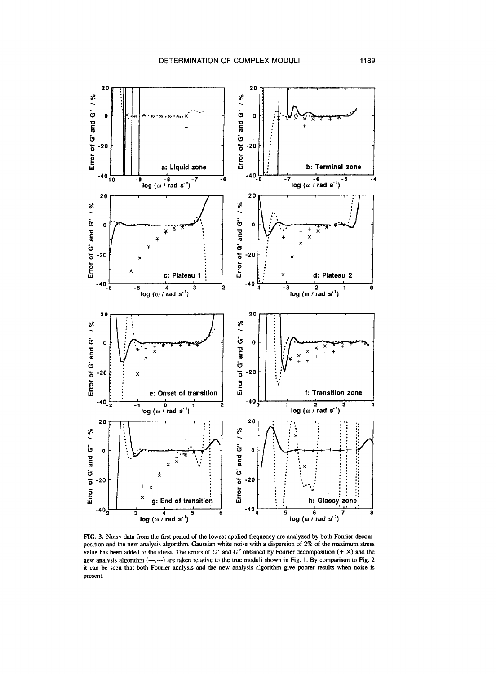

FIG. 3. Noisy data from the first period of the lowest applied frequency are analyzed by both Fourier decomposition and the new analysis algorithm. Gaussian white noise with a dispersion of 2% of the maximum stress value has been added to the stress. The errors of  $G'$  and  $G''$  obtained by Fourier decomposition  $(+, \times)$  and the new analysis algorithm (-,--) are taken relative to the true moduli shown in Fig. 1. By comparison to Fig. 2 it can be seen that both Fourier analysis and the new analysis algorithm give poorer results when noise is present.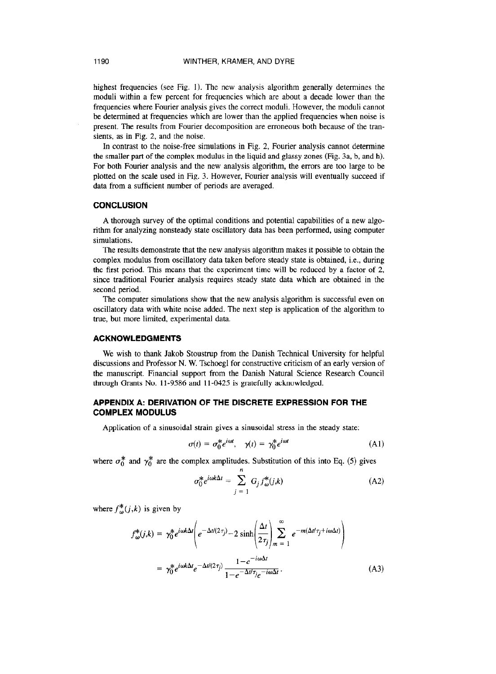highest frequencies (see Fig. 1). The new analysis algorithm generally determines the moduli within a few percent for frequencies which are about a decade lower than the frequencies where Fourier analysis gives the correct moduli. However, the moduli cannot be determined at frequencies which are lower than the applied frequencies when noise is present. The results from Fourier decomposition are erroneous both because of the transients, as in Fig. 2, and the noise.

In contrast to the noise-free simulations in Fig. 2, Fourier analysis cannot determine the smaller part of the complex modulus in the liquid and glassy zones (Fig. 3a, b, and h). For both Fourier analysis and the new analysis algorithm, the errors are too large to be plotted on the scale used in Fig. 3. However, Fourier analysis will eventually succeed if data from a sufficient number of periods are averaged.

## **CONCLUSION**

A thorough survey of the optimal conditions and potential capabilities of a new algorithm for analyzing nonsteady state oscillatory data has been performed, using computer simulations.

The results demonstrate that the new analysis algorithm makes it possible to obtain the complex modulus from oscillatory data taken before steady state is obtained, i.e., during the first period. This means that the experiment time will be reduced by a factor of 2, since traditional Fourier analysis requires steady state data which are obtained in the second period.

The computer simulations show that the new analysis algorithm is successful even on oscillatory data with white noise added. The next step is application of the algorithm to true, but more limited, experimental data.

## ACKNOWLEDGMENTS

We wish to thank Jakob Stoustrup from the Danish Technical University for helpful discussions and Professor N. W. Tschoegl for constructive criticism of an early version of the manuscript. Financial support from the Danish Natural Science Research Council through Grants No. 11-9586 and 11-0425 is gratefully acknowledged.

# APPENDIX A: DERIVATION OF THE DISCRETE EXPRESSION FOR THE COMPLEX MODULUS

Application of a sinusoidal strain gives a sinusoidal stress in the steady state:

$$
\sigma(t) = \sigma_0^* e^{i\omega t}, \quad \gamma(t) = \gamma_0^* e^{i\omega t} \tag{A1}
$$

where  $\sigma_0^*$  and  $\gamma_0^*$  are the complex amplitudes. Substitution of this into Eq. (5) gives

$$
\sigma_0^* e^{i\omega k \Delta t} = \sum_{j=1}^n G_j f_{\omega}^*(j,k) \tag{A2}
$$

where  $f_{\omega}^*(j,k)$  is given by

$$
f_{\omega}^*(j,k) = \gamma_0^* e^{i\omega k \Delta t} \left( e^{-\Delta t/(2\tau_j)} - 2 \sinh \left( \frac{\Delta t}{2\tau_j} \right) \sum_{m=1}^{\infty} e^{-m(\Delta t/\tau_j + i\omega \Delta t)} \right)
$$
  

$$
= \gamma_0^* e^{i\omega k \Delta t} e^{-\Delta t/(2\tau_j)} \frac{1 - e^{-i\omega \Delta t}}{1 - e^{-\Delta t/\tau_j} e^{-i\omega \Delta t}}.
$$
 (A3)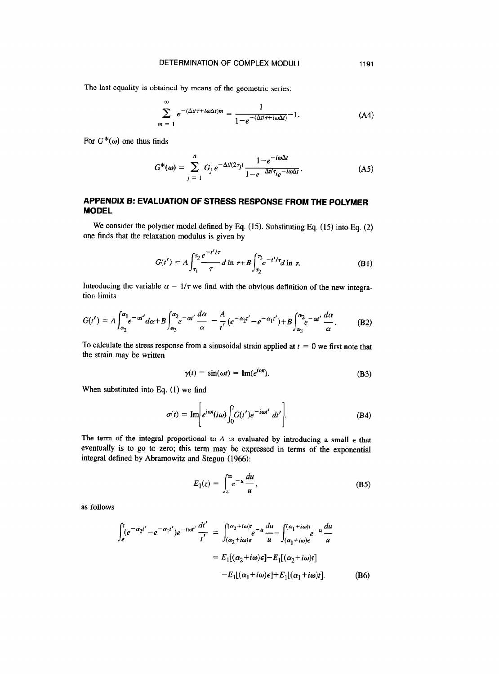The last equality is obtained by means of the geometric series:

$$
\sum_{m=1}^{\infty} e^{-(\Delta t/\tau + i\omega\Delta t)m} = \frac{1}{1 - e^{-(\Delta t/\tau + i\omega\Delta t)}} - 1.
$$
 (A4)

For  $G^*(\omega)$  one thus finds

$$
G^*(\omega) = \sum_{j=1}^n G_j e^{-\Delta t/(2\tau_j)} \frac{1 - e^{-i\omega\Delta t}}{1 - e^{-\Delta t/\tau_j} e^{-i\omega\Delta t}}.
$$
 (A5)

# APPENDIX B: EVALUATION OF STRESS RESPONSE FROM THE POLYMER **MODEL**

We consider the polymer model defined by Eq. (15). Substituting Eq. (15) into Eq. (2) one finds that the relaxation modulus is given by

$$
G(t') = A \int_{\tau_1}^{\tau_2} \frac{e^{-t'/\tau}}{\tau} d \ln \tau + B \int_{\tau_2}^{\tau_3} e^{-t'/\tau} d \ln \tau.
$$
 (B1)

Introducing the variable  $\alpha = 1/\tau$  we find with the obvious definition of the new integration limits

$$
G(t') = A \int_{\alpha_2}^{\alpha_1} e^{-\alpha t'} d\alpha + B \int_{\alpha_3}^{\alpha_2} e^{-\alpha t'} \frac{d\alpha}{\alpha} = \frac{A}{t'} (e^{-\alpha_2 t'} - e^{-\alpha_1 t'}) + B \int_{\alpha_3}^{\alpha_2} e^{-\alpha t'} \frac{d\alpha}{\alpha}.
$$
 (B2)

To calculate the stress response from a sinusoidal strain applied at  $t = 0$  we first note that the strain may be written

$$
\gamma(t) = \sin(\omega t) = \text{Im}(e^{i\omega t}).
$$
 (B3)

When substituted into Eq. (1) we find

$$
\sigma(t) = \text{Im}\bigg[e^{i\omega t}(i\omega)\int_0^t G(t')e^{-i\omega t'} dt'\bigg].
$$
 (B4)

The term of the integral proportional to A is evaluated by introducing a small  $\epsilon$  that eventually is to go to zero; this term may be expressed in terms of the exponential integral defined by Abramowitz and Stegun (1966):

$$
E_1(z) = \int_z^{\infty} e^{-u} \frac{du}{u}, \qquad (B5)
$$

as follows

$$
\int_{\epsilon}^{t} (e^{-\alpha_2 t'} - e^{-\alpha_1 t'}) e^{-i\omega t'} \frac{dt'}{t'} = \int_{(\alpha_2 + i\omega)\epsilon}^{(\alpha_2 + i\omega)t} e^{-u} \frac{du}{u} - \int_{(\alpha_1 + i\omega)\epsilon}^{(\alpha_1 + i\omega)t} e^{-u} \frac{du}{u}
$$

$$
= E_1[(\alpha_2 + i\omega)\epsilon] - E_1[(\alpha_2 + i\omega)t]
$$

$$
-E_1[(\alpha_1 + i\omega)\epsilon] + E_1[(\alpha_1 + i\omega)t]. \tag{B6}
$$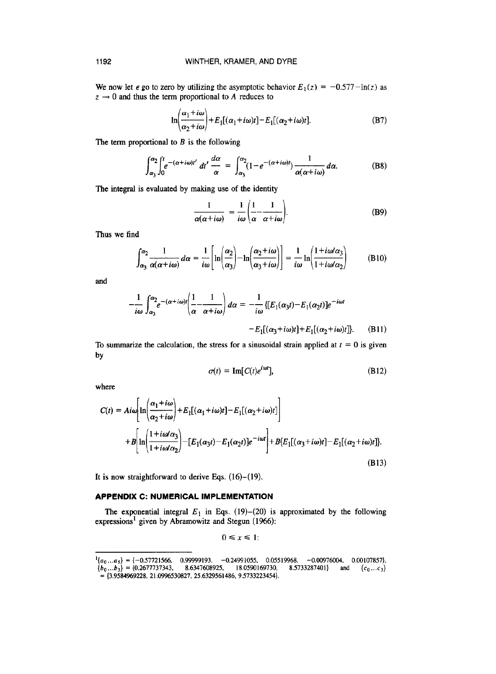We now let  $\epsilon$  go to zero by utilizing the asymptotic behavior  $E_1(z) = -0.577 - \ln(z)$  as  $z \rightarrow 0$  and thus the term proportional to A reduces to

$$
\ln\left(\frac{\alpha_1 + i\omega}{\alpha_2 + i\omega}\right) + E_1[(\alpha_1 + i\omega)t] - E_1[(\alpha_2 + i\omega)t].
$$
 (B7)

The term proportional to  $B$  is the following

$$
\int_{\alpha_3}^{\alpha_2} \int_0^t e^{-(\alpha + i\omega)t'} dt' \frac{d\alpha}{\alpha} = \int_{\alpha_3}^{\alpha_2} (1 - e^{-(\alpha + i\omega)t}) \frac{1}{\alpha(\alpha + i\omega)} d\alpha.
$$
 (B8)

The integral is evaluated by making use of the identity

$$
\frac{1}{\alpha(\alpha + i\omega)} = \frac{1}{i\omega} \left( \frac{1}{\alpha} - \frac{1}{\alpha + i\omega} \right).
$$
 (B9)

Thus we find

$$
\int_{\alpha_3}^{\alpha_2} \frac{1}{\alpha(\alpha + i\omega)} d\alpha = \frac{1}{i\omega} \left[ \ln \left( \frac{\alpha_2}{\alpha_3} \right) - \ln \left( \frac{\alpha_2 + i\omega}{\alpha_3 + i\omega} \right) \right] = \frac{1}{i\omega} \ln \left( \frac{1 + i\omega/\alpha_3}{1 + i\omega/\alpha_2} \right) \tag{B10}
$$

and

$$
-\frac{1}{i\omega} \int_{\alpha_3}^{\alpha_2} e^{-(\alpha + i\omega)t} \left( \frac{1}{\alpha} - \frac{1}{\alpha + i\omega} \right) d\alpha = -\frac{1}{i\omega} \left\{ [E_1(\alpha_3 t) - E_1(\alpha_2 t)] e^{-i\omega t} - E_1[(\alpha_3 + i\omega)t] + E_1[(\alpha_2 + i\omega)t] \right\}.
$$
 (B11)

To summarize the calculation, the stress for a sinusoidal strain applied at  $t = 0$  is given by

$$
\sigma(t) = \text{Im}[C(t)e^{i\omega t}], \qquad (B12)
$$

where

$$
C(t) = Ai\omega \left[ ln\left(\frac{\alpha_1 + i\omega}{\alpha_2 + i\omega}\right) + E_1[(\alpha_1 + i\omega)t] - E_1[(\alpha_2 + i\omega)t] \right]
$$
  
+ 
$$
B \left[ ln\left(\frac{1 + i\omega/\alpha_3}{1 + i\omega/\alpha_2}\right) - [E_1(\alpha_3 t) - E_1(\alpha_2 t)]e^{-i\omega t} \right] + B\{E_1[(\alpha_3 + i\omega)t] - E_1[(\alpha_2 + i\omega)t] \}.
$$
  
(B13)

It is now straightforward to derive Eqs.  $(16)-(19)$ .

## APPENDIX C: NUMERICAL IMPLEMENTATION

The exponential integral  $E_1$  in Eqs. (19)-(20) is approximated by the following expressions<sup>1</sup> given by Abramowitz and Stegun (1966):

$$
0 \leq x \leq 1:
$$

 ${}^{1}\{a_0...a_5\} = \{-0.57721566, 0.99999193, -0.24991055, 0.05519968, -0.00976004, 0.00107857\},$  ${\{b_0,..b_3\}} = {\{0.2677737343,\qquad 8.6347608925,\qquad 18.0590169730,\qquad 8.5733287401\}} \qquad \text{and} \qquad {\{c_0,..c_3\}}$  $=$  {3.9584969228, 21.0996530827, 25.6329561486, 9.5733223454}.